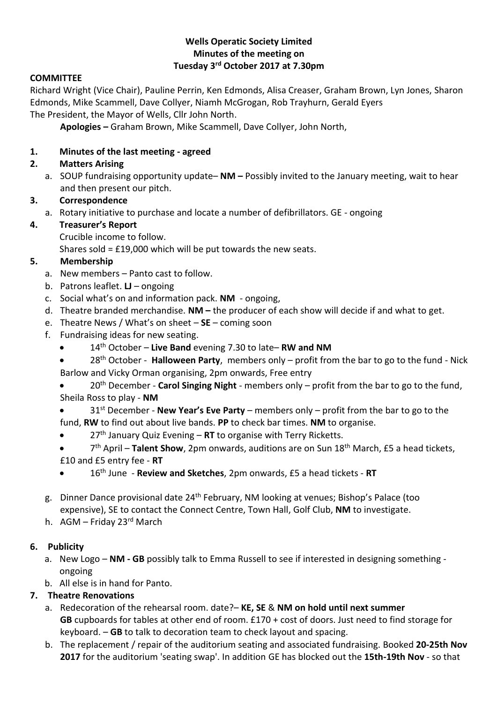#### **Wells Operatic Society Limited Minutes of the meeting on Tuesday 3rd October 2017 at 7.30pm**

## **COMMITTEE**

Richard Wright (Vice Chair), Pauline Perrin, Ken Edmonds, Alisa Creaser, Graham Brown, Lyn Jones, Sharon Edmonds, Mike Scammell, Dave Collyer, Niamh McGrogan, Rob Trayhurn, Gerald Eyers The President, the Mayor of Wells, Cllr John North.

**Apologies –** Graham Brown, Mike Scammell, Dave Collyer, John North,

## **1. Minutes of the last meeting - agreed**

## **2. Matters Arising**

a. SOUP fundraising opportunity update– **NM –** Possibly invited to the January meeting, wait to hear and then present our pitch.

## **3. Correspondence**

a. Rotary initiative to purchase and locate a number of defibrillators. GE - ongoing

## **4. Treasurer's Report**

Crucible income to follow.

Shares sold = £19,000 which will be put towards the new seats.

## **5. Membership**

- a. New members Panto cast to follow.
- b. Patrons leaflet. **LJ** ongoing
- c. Social what's on and information pack. **NM** ongoing,
- d. Theatre branded merchandise. **NM –** the producer of each show will decide if and what to get.
- e. Theatre News / What's on sheet **SE** coming soon
- f. Fundraising ideas for new seating.
	- 14th October **Live Band** evening 7.30 to late– **RW and NM**
	- 28th October **Halloween Party**, members only profit from the bar to go to the fund Nick Barlow and Vicky Orman organising, 2pm onwards, Free entry
	- 20th December **Carol Singing Night** members only profit from the bar to go to the fund, Sheila Ross to play - **NM**
	- 31st December **New Year's Eve Party** members only profit from the bar to go to the fund, **RW** to find out about live bands. **PP** to check bar times. **NM** to organise.
	- 27th January Quiz Evening **RT** to organise with Terry Ricketts.
	- 7 th April **Talent Show**, 2pm onwards, auditions are on Sun 18th March, £5 a head tickets, £10 and £5 entry fee - **RT**
	- 16th June **Review and Sketches**, 2pm onwards, £5 a head tickets **RT**
- g. Dinner Dance provisional date 24<sup>th</sup> February, NM looking at venues; Bishop's Palace (too expensive), SE to contact the Connect Centre, Town Hall, Golf Club, **NM** to investigate.
- h. AGM Friday 23rd March

# **6. Publicity**

- a. New Logo **NM - GB** possibly talk to Emma Russell to see if interested in designing something ongoing
- b. All else is in hand for Panto.

# **7. Theatre Renovations**

- a. Redecoration of the rehearsal room. date?– **KE, SE** & **NM on hold until next summer GB** cupboards for tables at other end of room. £170 + cost of doors. Just need to find storage for keyboard. – **GB** to talk to decoration team to check layout and spacing.
- b. The replacement / repair of the auditorium seating and associated fundraising. Booked **20-25th Nov 2017** for the auditorium 'seating swap'. In addition GE has blocked out the **15th-19th Nov** - so that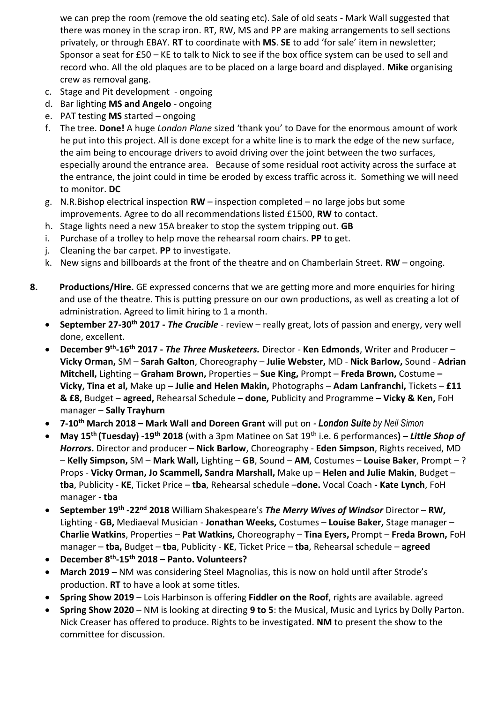we can prep the room (remove the old seating etc). Sale of old seats - Mark Wall suggested that there was money in the scrap iron. RT, RW, MS and PP are making arrangements to sell sections privately, or through EBAY. **RT** to coordinate with **MS**. **SE** to add 'for sale' item in newsletter; Sponsor a seat for £50 – KE to talk to Nick to see if the box office system can be used to sell and record who. All the old plaques are to be placed on a large board and displayed. **Mike** organising crew as removal gang.

- c. Stage and Pit development ongoing
- d. Bar lighting **MS and Angelo** ongoing
- e. PAT testing **MS** started ongoing
- f. The tree. **Done!** A huge *London Plane* sized 'thank you' to Dave for the enormous amount of work he put into this project. All is done except for a white line is to mark the edge of the new surface, the aim being to encourage drivers to avoid driving over the joint between the two surfaces, especially around the entrance area. Because of some residual root activity across the surface at the entrance, the joint could in time be eroded by excess traffic across it. Something we will need to monitor. **DC**
- g. N.R.Bishop electrical inspection **RW** inspection completed no large jobs but some improvements. Agree to do all recommendations listed £1500, **RW** to contact.
- h. Stage lights need a new 15A breaker to stop the system tripping out. **GB**
- i. Purchase of a trolley to help move the rehearsal room chairs. **PP** to get.
- j. Cleaning the bar carpet. **PP** to investigate.
- k. New signs and billboards at the front of the theatre and on Chamberlain Street. **RW**  ongoing.
- **8. Productions/Hire.** GE expressed concerns that we are getting more and more enquiries for hiring and use of the theatre. This is putting pressure on our own productions, as well as creating a lot of administration. Agreed to limit hiring to 1 a month.
	- **September 27-30th 2017 -** *The Crucible* review really great, lots of passion and energy, very well done, excellent.
	- **December 9th -16th 2017 -** *The Three Musketeers.* Director **Ken Edmonds**, Writer and Producer **Vicky Orman,** SM – **Sarah Galton**, Choreography – **Julie Webster,** MD - **Nick Barlow,** Sound - **Adrian Mitchell,** Lighting – **Graham Brown,** Properties – **Sue King,** Prompt – **Freda Brown,** Costume **– Vicky, Tina et al,** Make up **– Julie and Helen Makin,** Photographs – **Adam Lanfranchi,** Tickets – **£11 & £8,** Budget – **agreed,** Rehearsal Schedule **– done,** Publicity and Programme **– Vicky & Ken,** FoH manager – **Sally Trayhurn**
	- **7-10th March 2018 – Mark Wall and Doreen Grant** will put on *- London Suite by Neil Simon*
	- **May 15th (Tuesday) -19th 2018** (with a 3pm Matinee on Sat 19th i.e. 6 performances**) –** *Little Shop of Horrors***.** Director and producer – **Nick Barlow**, Choreography - **Eden Simpson**, Rights received, MD – **Kelly Simpson,** SM – **Mark Wall,** Lighting – **GB**, Sound – **AM**, Costumes – **Louise Baker**, Prompt – ? Props - **Vicky Orman, Jo Scammell, Sandra Marshall,** Make up – **Helen and Julie Makin**, Budget – **tba**, Publicity - **KE**, Ticket Price – **tba**, Rehearsal schedule –**done.** Vocal Coach **- Kate Lynch**, FoH manager - **tba**
	- **September 19th -22nd 2018** William Shakespeare's *The Merry Wives of Windsor* Director **RW,**  Lighting - **GB,** Mediaeval Musician - **Jonathan Weeks,** Costumes – **Louise Baker,** Stage manager – **Charlie Watkins**, Properties – **Pat Watkins,** Choreography – **Tina Eyers,** Prompt – **Freda Brown,** FoH manager – **tba,** Budget – **tba**, Publicity - **KE**, Ticket Price – **tba**, Rehearsal schedule – **agreed**
	- **December 8th -15th 2018 – Panto. Volunteers?**
	- **March 2019 –** NM was considering Steel Magnolias, this is now on hold until after Strode's production. **RT** to have a look at some titles.
	- **Spring Show 2019**  Lois Harbinson is offering **Fiddler on the Roof**, rights are available. agreed
	- **Spring Show 2020**  NM is looking at directing **9 to 5**: the Musical, Music and Lyrics by Dolly Parton. Nick Creaser has offered to produce. Rights to be investigated. **NM** to present the show to the committee for discussion.